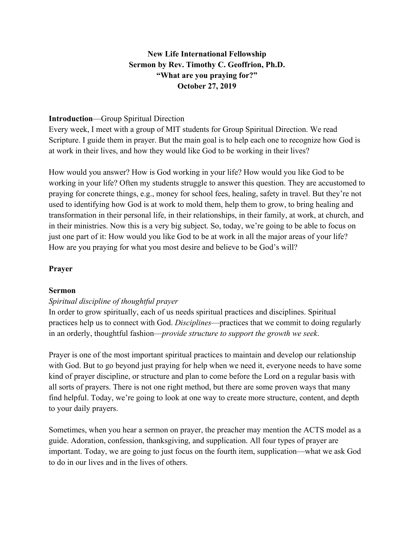# **New Life International Fellowship Sermon by Rev. Timothy C. Geoffrion, Ph.D. "What are you praying for?" October 27, 2019**

#### **Introduction**—Group Spiritual Direction

Every week, I meet with a group of MIT students for Group Spiritual Direction. We read Scripture. I guide them in prayer. But the main goal is to help each one to recognize how God is at work in their lives, and how they would like God to be working in their lives?

How would you answer? How is God working in your life? How would you like God to be working in your life? Often my students struggle to answer this question. They are accustomed to praying for concrete things, e.g., money for school fees, healing, safety in travel. But they're not used to identifying how God is at work to mold them, help them to grow, to bring healing and transformation in their personal life, in their relationships, in their family, at work, at church, and in their ministries. Now this is a very big subject. So, today, we're going to be able to focus on just one part of it: How would you like God to be at work in all the major areas of your life? How are you praying for what you most desire and believe to be God's will?

#### **Prayer**

#### **Sermon**

### *Spiritual discipline of thoughtful prayer*

In order to grow spiritually, each of us needs spiritual practices and disciplines. Spiritual practices help us to connect with God. *Disciplines*—practices that we commit to doing regularly in an orderly, thoughtful fashion—*provide structure to support the growth we seek*.

Prayer is one of the most important spiritual practices to maintain and develop our relationship with God. But to go beyond just praying for help when we need it, everyone needs to have some kind of prayer discipline, or structure and plan to come before the Lord on a regular basis with all sorts of prayers. There is not one right method, but there are some proven ways that many find helpful. Today, we're going to look at one way to create more structure, content, and depth to your daily prayers.

Sometimes, when you hear a sermon on prayer, the preacher may mention the ACTS model as a guide. Adoration, confession, thanksgiving, and supplication. All four types of prayer are important. Today, we are going to just focus on the fourth item, supplication—what we ask God to do in our lives and in the lives of others.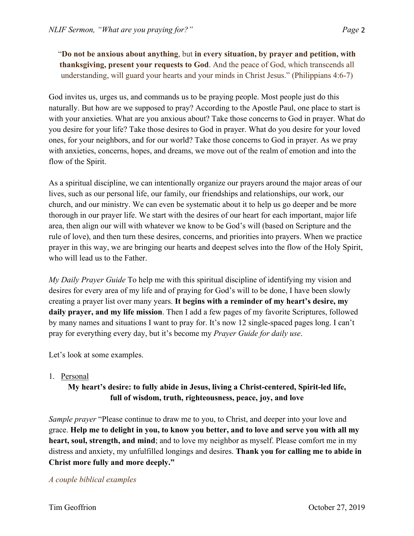"**Do not be anxious about anything**, but **in every situation, by prayer and petition, with thanksgiving, present your requests to God**. And the peace of God, which transcends all understanding, will guard your hearts and your minds in Christ Jesus." (Philippians 4:6-7)

God invites us, urges us, and commands us to be praying people. Most people just do this naturally. But how are we supposed to pray? According to the Apostle Paul, one place to start is with your anxieties. What are you anxious about? Take those concerns to God in prayer. What do you desire for your life? Take those desires to God in prayer. What do you desire for your loved ones, for your neighbors, and for our world? Take those concerns to God in prayer. As we pray with anxieties, concerns, hopes, and dreams, we move out of the realm of emotion and into the flow of the Spirit.

As a spiritual discipline, we can intentionally organize our prayers around the major areas of our lives, such as our personal life, our family, our friendships and relationships, our work, our church, and our ministry. We can even be systematic about it to help us go deeper and be more thorough in our prayer life. We start with the desires of our heart for each important, major life area, then align our will with whatever we know to be God's will (based on Scripture and the rule of love), and then turn these desires, concerns, and priorities into prayers. When we practice prayer in this way, we are bringing our hearts and deepest selves into the flow of the Holy Spirit, who will lead us to the Father.

*My Daily Prayer Guide* To help me with this spiritual discipline of identifying my vision and desires for every area of my life and of praying for God's will to be done, I have been slowly creating a prayer list over many years. **It begins with a reminder of my heart's desire, my daily prayer, and my life mission**. Then I add a few pages of my favorite Scriptures, followed by many names and situations I want to pray for. It's now 12 single-spaced pages long. I can't pray for everything every day, but it's become my *Prayer Guide for daily use*.

Let's look at some examples.

### 1. Personal

# **My heart's desire: to fully abide in Jesus, living a Christ-centered, Spirit-led life, full of wisdom, truth, righteousness, peace, joy, and love**

*Sample prayer* "Please continue to draw me to you, to Christ, and deeper into your love and grace. **Help me to delight in you, to know you better, and to love and serve you with all my heart, soul, strength, and mind**; and to love my neighbor as myself. Please comfort me in my distress and anxiety, my unfulfilled longings and desires. **Thank you for calling me to abide in Christ more fully and more deeply."**

### *A couple biblical examples*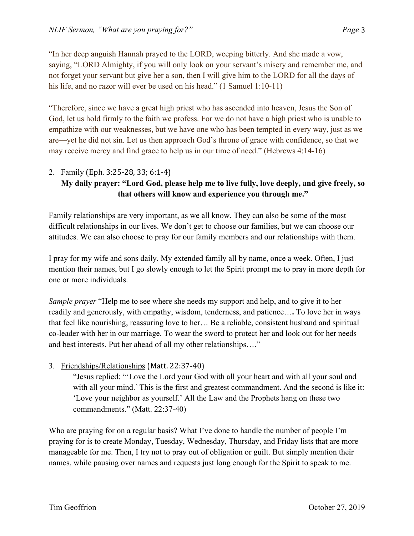"In her deep anguish Hannah prayed to the LORD, weeping bitterly. And she made a vow, saying, "LORD Almighty, if you will only look on your servant's misery and remember me, and not forget your servant but give her a son, then I will give him to the LORD for all the days of his life, and no razor will ever be used on his head." (1 Samuel 1:10-11)

"Therefore, since we have a great high priest who has ascended into heaven, Jesus the Son of God, let us hold firmly to the faith we profess. For we do not have a high priest who is unable to empathize with our weaknesses, but we have one who has been tempted in every way, just as we are—yet he did not sin. Let us then approach God's throne of grace with confidence, so that we may receive mercy and find grace to help us in our time of need." (Hebrews 4:14-16)

### 2. Family (Eph. 3:25-28, 33; 6:1-4)

# **My daily prayer: "Lord God, please help me to live fully, love deeply, and give freely, so that others will know and experience you through me."**

Family relationships are very important, as we all know. They can also be some of the most difficult relationships in our lives. We don't get to choose our families, but we can choose our attitudes. We can also choose to pray for our family members and our relationships with them.

I pray for my wife and sons daily. My extended family all by name, once a week. Often, I just mention their names, but I go slowly enough to let the Spirit prompt me to pray in more depth for one or more individuals.

*Sample prayer* "Help me to see where she needs my support and help, and to give it to her readily and generously, with empathy, wisdom, tenderness, and patience…**.** To love her in ways that feel like nourishing, reassuring love to her… Be a reliable, consistent husband and spiritual co-leader with her in our marriage. To wear the sword to protect her and look out for her needs and best interests. Put her ahead of all my other relationships…."

### 3. Friendships/Relationships (Matt. 22:37-40)

"Jesus replied: "'Love the Lord your God with all your heart and with all your soul and with all your mind.' This is the first and greatest commandment. And the second is like it: 'Love your neighbor as yourself.' All the Law and the Prophets hang on these two commandments." (Matt. 22:37-40)

Who are praying for on a regular basis? What I've done to handle the number of people I'm praying for is to create Monday, Tuesday, Wednesday, Thursday, and Friday lists that are more manageable for me. Then, I try not to pray out of obligation or guilt. But simply mention their names, while pausing over names and requests just long enough for the Spirit to speak to me.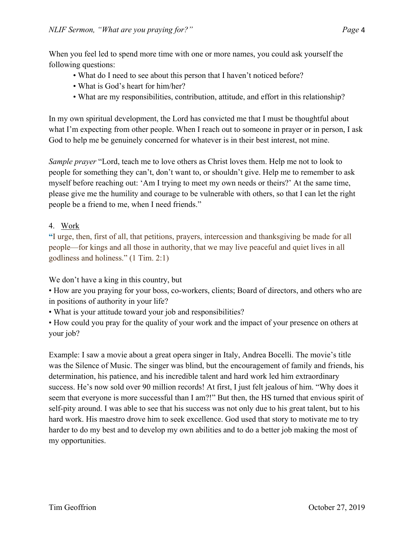When you feel led to spend more time with one or more names, you could ask yourself the following questions:

- What do I need to see about this person that I haven't noticed before?
- What is God's heart for him/her?
- What are my responsibilities, contribution, attitude, and effort in this relationship?

In my own spiritual development, the Lord has convicted me that I must be thoughtful about what I'm expecting from other people. When I reach out to someone in prayer or in person, I ask God to help me be genuinely concerned for whatever is in their best interest, not mine.

*Sample prayer* "Lord, teach me to love others as Christ loves them. Help me not to look to people for something they can't, don't want to, or shouldn't give. Help me to remember to ask myself before reaching out: 'Am I trying to meet my own needs or theirs?' At the same time, please give me the humility and courage to be vulnerable with others, so that I can let the right people be a friend to me, when I need friends."

## 4. Work

**"**I urge, then, first of all, that petitions, prayers, intercession and thanksgiving be made for all people—for kings and all those in authority, that we may live peaceful and quiet lives in all godliness and holiness." (1 Tim. 2:1)

We don't have a king in this country, but

• How are you praying for your boss, co-workers, clients; Board of directors, and others who are in positions of authority in your life?

• What is your attitude toward your job and responsibilities?

• How could you pray for the quality of your work and the impact of your presence on others at your job?

Example: I saw a movie about a great opera singer in Italy, Andrea Bocelli. The movie's title was the Silence of Music. The singer was blind, but the encouragement of family and friends, his determination, his patience, and his incredible talent and hard work led him extraordinary success. He's now sold over 90 million records! At first, I just felt jealous of him. "Why does it seem that everyone is more successful than I am?!" But then, the HS turned that envious spirit of self-pity around. I was able to see that his success was not only due to his great talent, but to his hard work. His maestro drove him to seek excellence. God used that story to motivate me to try harder to do my best and to develop my own abilities and to do a better job making the most of my opportunities.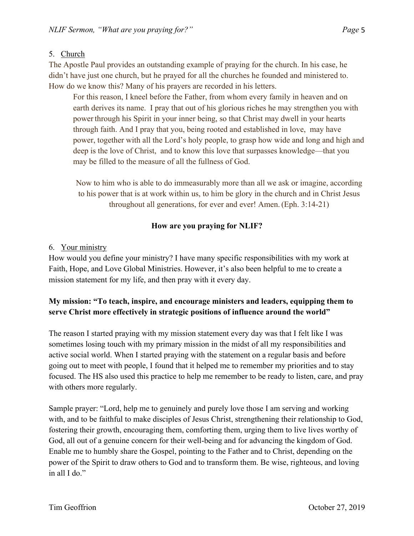## 5. Church

The Apostle Paul provides an outstanding example of praying for the church. In his case, he didn't have just one church, but he prayed for all the churches he founded and ministered to. How do we know this? Many of his prayers are recorded in his letters.

For this reason, I kneel before the Father, from whom every family in heaven and on earth derives its name. I pray that out of his glorious riches he may strengthen you with power through his Spirit in your inner being, so that Christ may dwell in your hearts through faith. And I pray that you, being rooted and established in love, may have power, together with all the Lord's holy people, to grasp how wide and long and high and deep is the love of Christ, and to know this love that surpasses knowledge—that you may be filled to the measure of all the fullness of God.

Now to him who is able to do immeasurably more than all we ask or imagine, according to his power that is at work within us, to him be glory in the church and in Christ Jesus throughout all generations, for ever and ever! Amen. (Eph. 3:14-21)

## **How are you praying for NLIF?**

### 6. Your ministry

How would you define your ministry? I have many specific responsibilities with my work at Faith, Hope, and Love Global Ministries. However, it's also been helpful to me to create a mission statement for my life, and then pray with it every day.

## **My mission: "To teach, inspire, and encourage ministers and leaders, equipping them to serve Christ more effectively in strategic positions of influence around the world"**

The reason I started praying with my mission statement every day was that I felt like I was sometimes losing touch with my primary mission in the midst of all my responsibilities and active social world. When I started praying with the statement on a regular basis and before going out to meet with people, I found that it helped me to remember my priorities and to stay focused. The HS also used this practice to help me remember to be ready to listen, care, and pray with others more regularly.

Sample prayer: "Lord, help me to genuinely and purely love those I am serving and working with, and to be faithful to make disciples of Jesus Christ, strengthening their relationship to God, fostering their growth, encouraging them, comforting them, urging them to live lives worthy of God, all out of a genuine concern for their well-being and for advancing the kingdom of God. Enable me to humbly share the Gospel, pointing to the Father and to Christ, depending on the power of the Spirit to draw others to God and to transform them. Be wise, righteous, and loving in all I do."